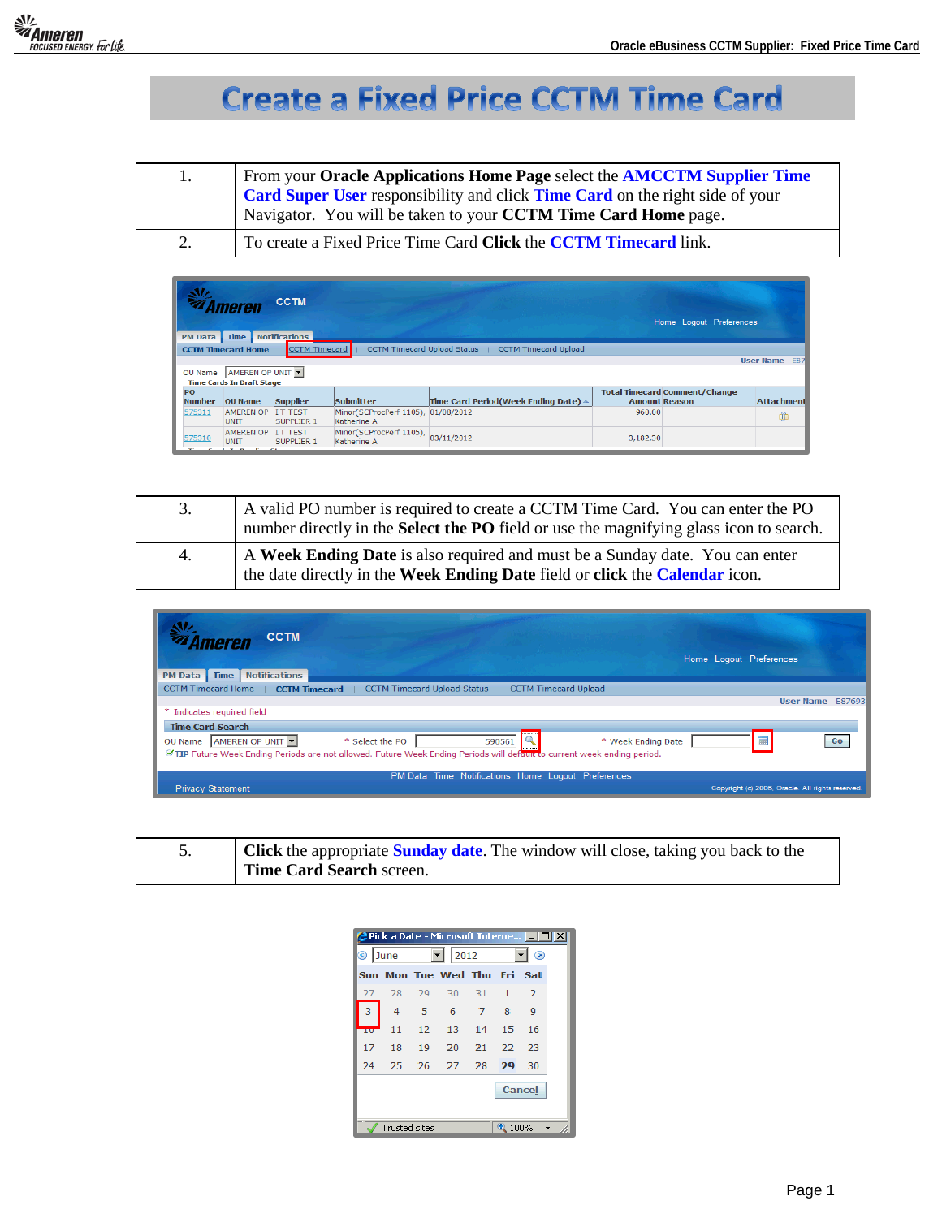

## **Create a Fixed Price CCTM Time Card**

| 1. | From your Oracle Applications Home Page select the AMCCTM Supplier Time<br>Card Super User responsibility and click Time Card on the right side of your<br>Navigator. You will be taken to your CCTM Time Card Home page. |
|----|---------------------------------------------------------------------------------------------------------------------------------------------------------------------------------------------------------------------------|
| 2. | To create a Fixed Price Time Card Click the CCTM Timecard link.                                                                                                                                                           |

| <b>PM Data</b>             | Ameren<br><b>Time</b>                                                | <b>CCTM</b><br><b>Notifications</b> |                                                   |                                                              |                      | Home Logout Preferences              |                      |
|----------------------------|----------------------------------------------------------------------|-------------------------------------|---------------------------------------------------|--------------------------------------------------------------|----------------------|--------------------------------------|----------------------|
|                            | <b>CCTM Timecard Home</b>                                            | <b>CCTM Timecard</b>                |                                                   | CCTM Timecard Upload Status  <br><b>CCTM Timecard Upload</b> |                      |                                      |                      |
|                            |                                                                      |                                     |                                                   |                                                              |                      |                                      | <b>User Name</b> E87 |
| OU Name                    | AMEREN OP UNIT<br><b>Time Cards In Draft Stage</b>                   |                                     |                                                   |                                                              |                      |                                      |                      |
| <b>PO</b><br><b>Number</b> | <b>OU Name</b>                                                       | <b>Supplier</b>                     | <b>Submitter</b>                                  | Time Card Period(Week Ending Date) A                         | <b>Amount Reason</b> | <b>Total Timecard Comment/Change</b> | <b>Attachment</b>    |
| 575311                     | <b>AMEREN OP</b><br><b>UNIT</b>                                      | <b>IT TEST</b><br><b>SUPPLIER 1</b> | Minor(SCProcPerf 1105), 01/08/2012<br>Katherine A |                                                              | 960.00               |                                      | m                    |
| 575310                     | <b>AMEREN OP</b><br><b>UNIT</b><br>There can be to be about the con- | <b>IT TEST</b><br><b>SUPPLIER 1</b> | Minor(SCProcPerf 1105),<br>Katherine A            | 03/11/2012                                                   | 3,182.30             |                                      |                      |

| 3. | A valid PO number is required to create a CCTM Time Card. You can enter the PO<br>number directly in the <b>Select the PO</b> field or use the magnifying glass icon to search. |
|----|---------------------------------------------------------------------------------------------------------------------------------------------------------------------------------|
| 4. | A Week Ending Date is also required and must be a Sunday date. You can enter<br>the date directly in the Week Ending Date field or click the Calendar icon.                     |

| <b>CCTM</b><br><i><b>'Ameren</b></i><br><b>Notifications</b><br><b>Time</b><br><b>PM Data</b>                                                                                                                                     | Home Logout Preferences                          |
|-----------------------------------------------------------------------------------------------------------------------------------------------------------------------------------------------------------------------------------|--------------------------------------------------|
| CCTM Timecard Home   CCTM Timecard  <br>CCTM Timecard Upload Status   CCTM Timecard Upload                                                                                                                                        |                                                  |
|                                                                                                                                                                                                                                   | User Name E87693                                 |
| * Indicates required field                                                                                                                                                                                                        |                                                  |
| <b>Time Card Search</b><br>AMEREN OP UNIT<br>* Select the PO<br>590561<br>* Week Ending Date<br>OU Name<br>TIP Future Week Ending Periods are not allowed. Future Week Ending Periods will default to current week ending period. | Go                                               |
| PM Data Time Notifications Home Logout Preferences                                                                                                                                                                                |                                                  |
| <b>Privacy Statement</b>                                                                                                                                                                                                          | Copyright (c) 2006, Oracle. All rights reserved. |

| <b>Click</b> the appropriate <b>Sunday date</b> . The window will close, taking you back to the |
|-------------------------------------------------------------------------------------------------|
| Time Card Search screen.                                                                        |

| Pick a Date - Microsoft Interne   III] X |                       |      |       |                             |              |                |  |
|------------------------------------------|-----------------------|------|-------|-----------------------------|--------------|----------------|--|
| ல<br>June                                |                       | 2012 |       |                             | ◉            |                |  |
|                                          |                       |      |       | Sun Mon Tue Wed Thu Fri Sat |              |                |  |
| 27                                       | 28                    | 29   | 30    | 31                          | $\mathbf{1}$ | $\overline{2}$ |  |
| 3                                        | 4                     | 5    | 6     | 7                           | 8            | 9              |  |
| πо                                       | 11                    | 12   | 13    | 14                          | 15           | 16             |  |
| 17                                       | 18                    | 19   | 20    | 21                          | 22           | 23             |  |
| 24                                       | 25                    | 26   | 27 28 |                             | 29           | 30             |  |
|                                          |                       |      |       |                             |              | Cancel         |  |
|                                          | Trusted sites<br>100% |      |       |                             |              |                |  |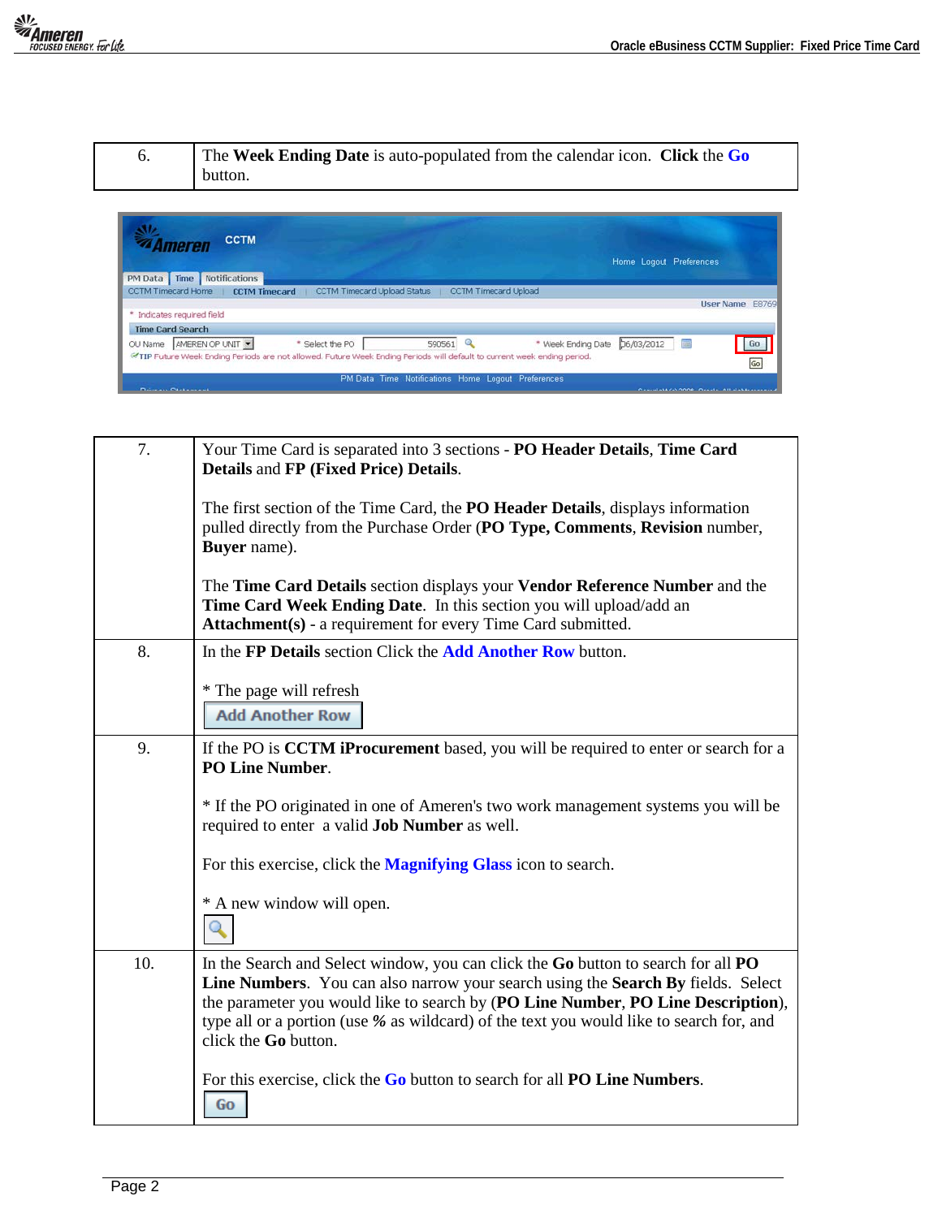| The Week Ending Date is auto-populated from the calendar icon. Click the Go<br>button. |
|----------------------------------------------------------------------------------------|
|                                                                                        |

| <b><i><u><b>A</b> Ameren</u></i></b>     | <b>CCTM</b>   |                                                                                                                         |                                                    |                               | Home Logout Preferences |                                                       |                 |
|------------------------------------------|---------------|-------------------------------------------------------------------------------------------------------------------------|----------------------------------------------------|-------------------------------|-------------------------|-------------------------------------------------------|-----------------|
| PM Data Time                             | Notifications |                                                                                                                         |                                                    |                               |                         |                                                       |                 |
| CCTM Timecard Home   CCTM Timecard       |               | CCTM Timecard Upload Status                                                                                             |                                                    | <b>CCTM Timecard Upload</b>   |                         |                                                       |                 |
| * Indicates required field               |               |                                                                                                                         |                                                    |                               |                         | <b>User Name</b>                                      | E8769           |
| <b>Time Card Search</b>                  |               |                                                                                                                         |                                                    |                               |                         |                                                       |                 |
| OU Name AMEREN OP UNIT                   |               | * Select the PO                                                                                                         | 590561 Q                                           | * Week Ending Date 56/03/2012 |                         |                                                       | 60 <sub>2</sub> |
|                                          |               | @TIP Future Week Ending Periods are not allowed. Future Week Ending Periods will default to current week ending period. |                                                    |                               |                         |                                                       | Go              |
| The contract of the contract of the con- |               |                                                                                                                         | PM Data Time Notifications Home Logout Preferences |                               |                         | <b>CONTRACTOR CONTRACTOR COMMUNICATION CONTRACTOR</b> |                 |

| 7.  | Your Time Card is separated into 3 sections - PO Header Details, Time Card<br>Details and FP (Fixed Price) Details.<br>The first section of the Time Card, the <b>PO Header Details</b> , displays information<br>pulled directly from the Purchase Order (PO Type, Comments, Revision number,<br>Buyer name).<br>The Time Card Details section displays your Vendor Reference Number and the<br>Time Card Week Ending Date. In this section you will upload/add an<br>Attachment(s) - a requirement for every Time Card submitted. |
|-----|-------------------------------------------------------------------------------------------------------------------------------------------------------------------------------------------------------------------------------------------------------------------------------------------------------------------------------------------------------------------------------------------------------------------------------------------------------------------------------------------------------------------------------------|
| 8.  | In the FP Details section Click the <b>Add Another Row</b> button.<br>* The page will refresh<br><b>Add Another Row</b>                                                                                                                                                                                                                                                                                                                                                                                                             |
| 9.  | If the PO is <b>CCTM</b> iProcurement based, you will be required to enter or search for a<br><b>PO Line Number.</b><br>* If the PO originated in one of Ameren's two work management systems you will be<br>required to enter a valid Job Number as well.<br>For this exercise, click the <b>Magnifying Glass</b> icon to search.<br>* A new window will open.                                                                                                                                                                     |
| 10. | In the Search and Select window, you can click the Go button to search for all PO<br>Line Numbers. You can also narrow your search using the Search By fields. Select<br>the parameter you would like to search by (PO Line Number, PO Line Description),<br>type all or a portion (use % as wildcard) of the text you would like to search for, and<br>click the Go button.<br>For this exercise, click the Go button to search for all PO Line Numbers.<br>Go                                                                     |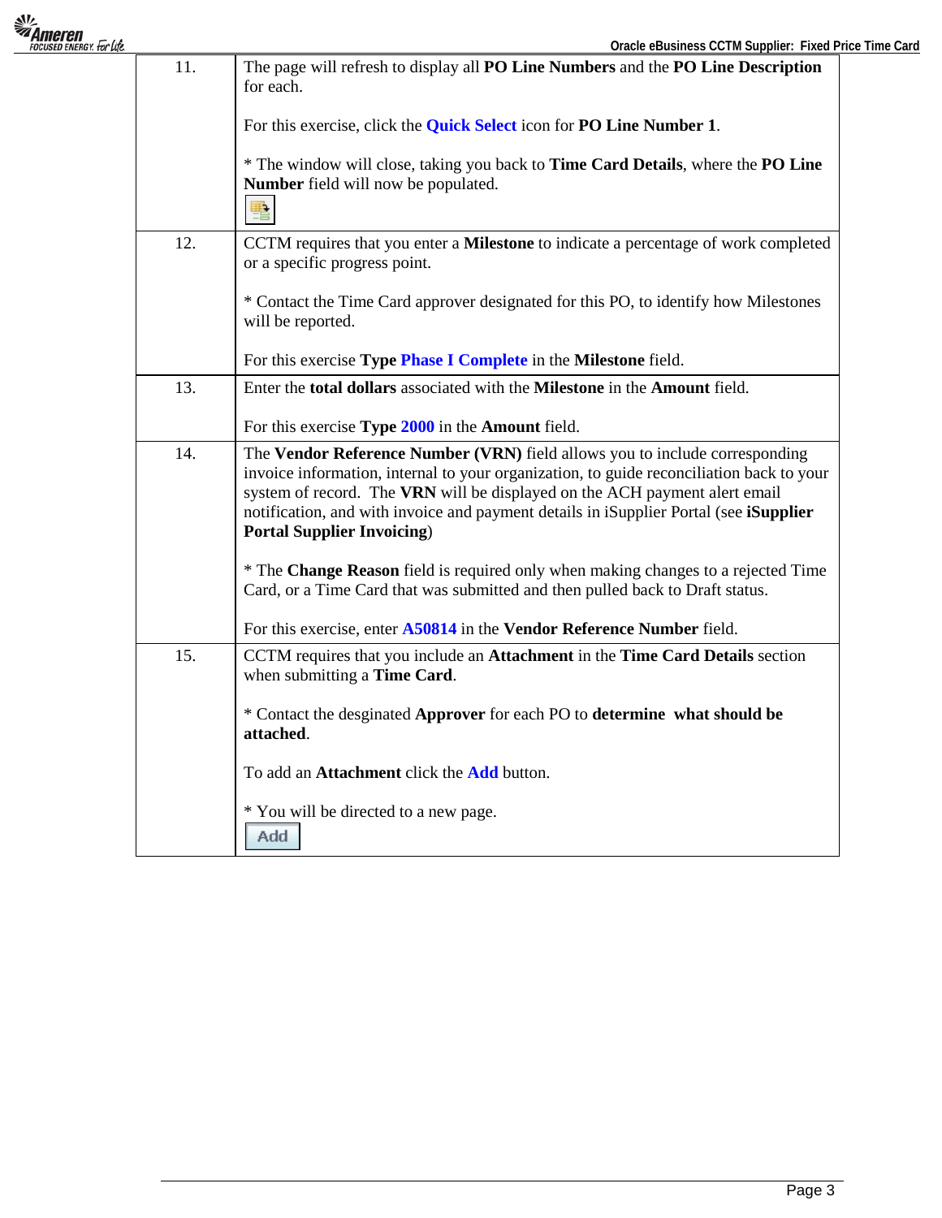|     | Oracle eBusiness CCTM Supplier: Fixed Price Time Card                                                                                                                                                                                                                                                                                                                               |
|-----|-------------------------------------------------------------------------------------------------------------------------------------------------------------------------------------------------------------------------------------------------------------------------------------------------------------------------------------------------------------------------------------|
| 11. | The page will refresh to display all PO Line Numbers and the PO Line Description<br>for each.                                                                                                                                                                                                                                                                                       |
|     | For this exercise, click the <b>Quick Select</b> icon for <b>PO Line Number 1</b> .                                                                                                                                                                                                                                                                                                 |
|     | * The window will close, taking you back to <b>Time Card Details</b> , where the <b>PO Line</b><br>Number field will now be populated.<br>围                                                                                                                                                                                                                                         |
| 12. | CCTM requires that you enter a Milestone to indicate a percentage of work completed<br>or a specific progress point.                                                                                                                                                                                                                                                                |
|     | * Contact the Time Card approver designated for this PO, to identify how Milestones<br>will be reported.                                                                                                                                                                                                                                                                            |
|     | For this exercise Type Phase I Complete in the Milestone field.                                                                                                                                                                                                                                                                                                                     |
| 13. | Enter the <b>total dollars</b> associated with the <b>Milestone</b> in the <b>Amount</b> field.                                                                                                                                                                                                                                                                                     |
|     | For this exercise Type 2000 in the Amount field.                                                                                                                                                                                                                                                                                                                                    |
| 14. | The Vendor Reference Number (VRN) field allows you to include corresponding<br>invoice information, internal to your organization, to guide reconciliation back to your<br>system of record. The VRN will be displayed on the ACH payment alert email<br>notification, and with invoice and payment details in iSupplier Portal (see iSupplier<br><b>Portal Supplier Invoicing)</b> |
|     | * The Change Reason field is required only when making changes to a rejected Time<br>Card, or a Time Card that was submitted and then pulled back to Draft status.                                                                                                                                                                                                                  |
|     | For this exercise, enter A50814 in the Vendor Reference Number field.                                                                                                                                                                                                                                                                                                               |
| 15. | CCTM requires that you include an Attachment in the Time Card Details section<br>when submitting a Time Card.                                                                                                                                                                                                                                                                       |
|     | * Contact the desginated Approver for each PO to determine what should be<br>attached.                                                                                                                                                                                                                                                                                              |
|     | To add an Attachment click the Add button.                                                                                                                                                                                                                                                                                                                                          |
|     | * You will be directed to a new page.<br>Add                                                                                                                                                                                                                                                                                                                                        |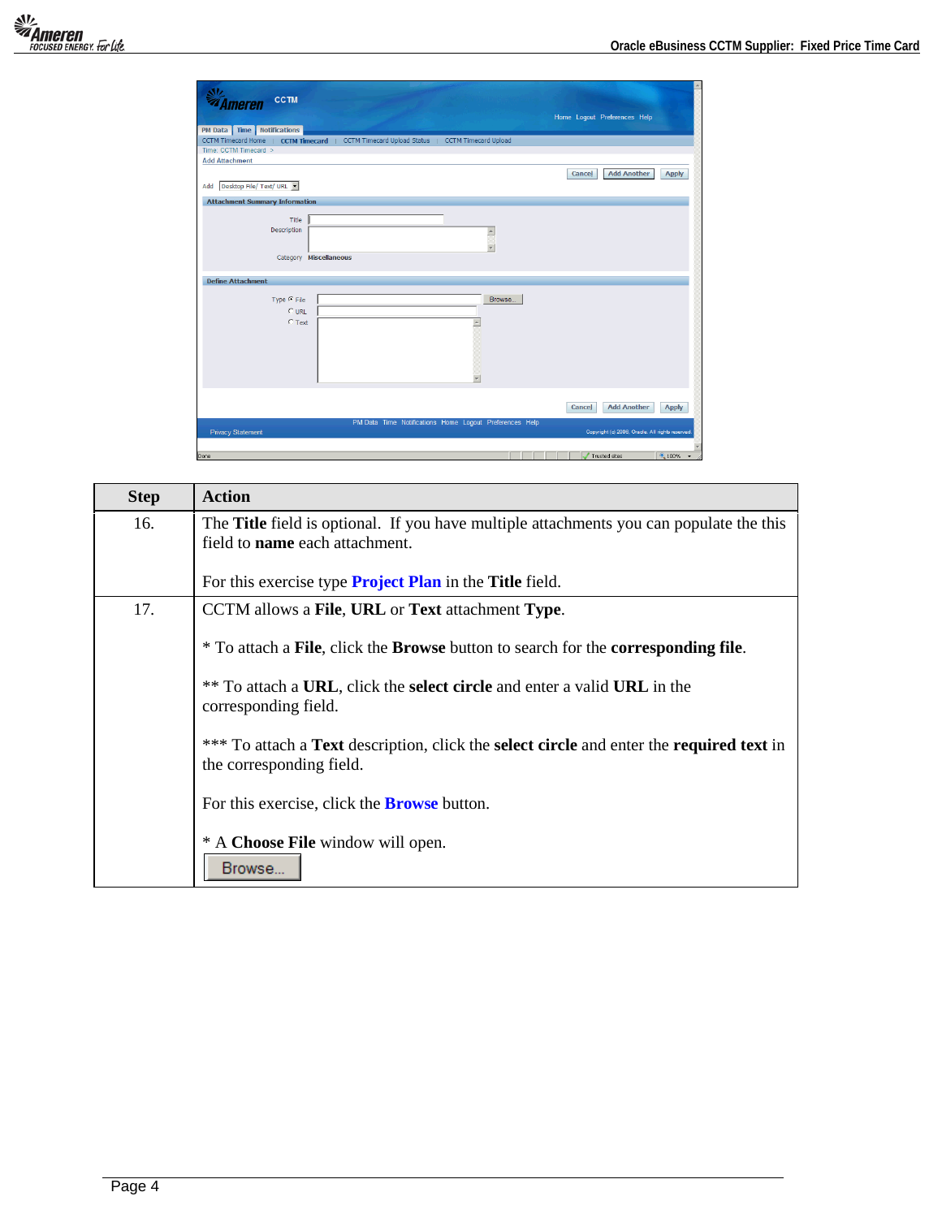| <b>CCTM</b><br>lmeren                                                                   | Home Logout Preferences Help                     |
|-----------------------------------------------------------------------------------------|--------------------------------------------------|
| PM Data   Time   Notifications                                                          |                                                  |
| CCTM Timecard Home   CCTM Timecard   CCTM Timecard Upload Status   CCTM Timecard Upload |                                                  |
| Time: CCTM Timecard >                                                                   |                                                  |
| <b>Add Attachment</b>                                                                   |                                                  |
| Desktop File/ Text/ URL -<br>Add                                                        | <b>Add Another</b><br>Cancel<br>Apply            |
|                                                                                         |                                                  |
| <b>Attachment Summary Information</b>                                                   |                                                  |
| Title                                                                                   |                                                  |
| Description<br>$\triangleq$                                                             |                                                  |
|                                                                                         |                                                  |
| ψ                                                                                       |                                                  |
| Category Miscellaneous                                                                  |                                                  |
|                                                                                         |                                                  |
| <b>Define Attachment</b>                                                                |                                                  |
| Type $C$ File<br>Browse                                                                 |                                                  |
| $C$ URL                                                                                 |                                                  |
| $C$ Text<br>×                                                                           |                                                  |
|                                                                                         |                                                  |
|                                                                                         |                                                  |
|                                                                                         |                                                  |
|                                                                                         |                                                  |
|                                                                                         |                                                  |
|                                                                                         |                                                  |
|                                                                                         |                                                  |
|                                                                                         | <b>Add Another</b><br>Cancel<br><b>Apply</b>     |
|                                                                                         |                                                  |
| PM Data Time Notifications Home Logout Preferences Help<br><b>Privacy Statement</b>     | Copyright (c) 2006, Oracle. All rights reserved. |
|                                                                                         |                                                  |
| Done                                                                                    | $*100%$ .<br>Trusted sites                       |

| <b>Step</b> | <b>Action</b>                                                                                                                    |
|-------------|----------------------------------------------------------------------------------------------------------------------------------|
| 16.         | The <b>Title</b> field is optional. If you have multiple attachments you can populate the this<br>field to name each attachment. |
|             | For this exercise type <b>Project Plan</b> in the <b>Title</b> field.                                                            |
| 17.         | CCTM allows a File, URL or Text attachment Type.                                                                                 |
|             | * To attach a File, click the Browse button to search for the corresponding file.                                                |
|             | ** To attach a URL, click the select circle and enter a valid URL in the<br>corresponding field.                                 |
|             | *** To attach a Text description, click the select circle and enter the required text in<br>the corresponding field.             |
|             | For this exercise, click the <b>Browse</b> button.                                                                               |
|             | * A Choose File window will open.<br>Browse.                                                                                     |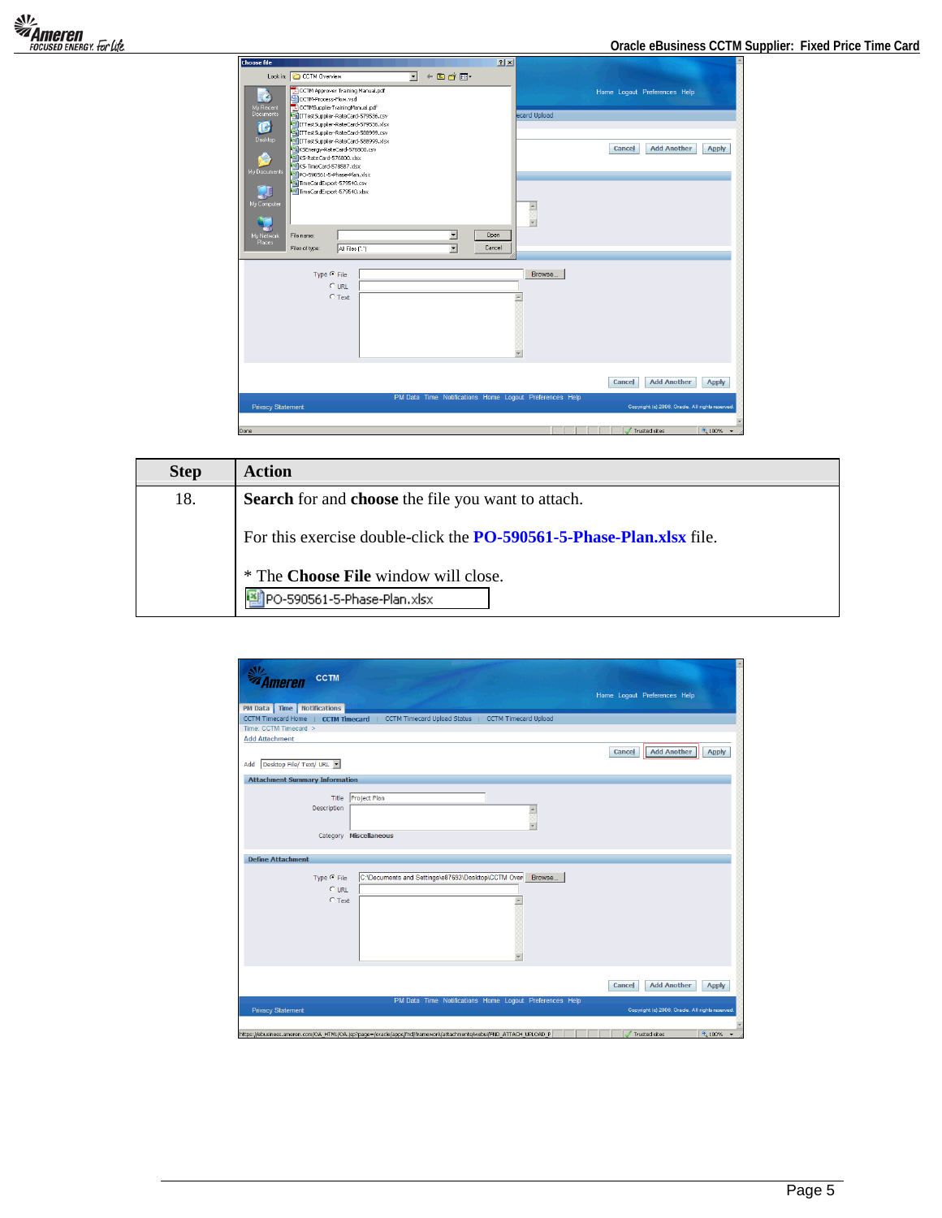| <b>Choose file</b>       |                                                                           |                 |                      |                          | 2x          |                                                         |                                    |                                                  |              |
|--------------------------|---------------------------------------------------------------------------|-----------------|----------------------|--------------------------|-------------|---------------------------------------------------------|------------------------------------|--------------------------------------------------|--------------|
|                          | Look in: C CCTM Overview                                                  |                 | $\blacktriangledown$ | $+B$ of $E$ .            |             |                                                         |                                    |                                                  |              |
| z,                       | CCTM Approver Training Manual.pdf<br>CCTM-Process-Flow.vsd                |                 |                      |                          |             |                                                         | Home Logout Preferences Help       |                                                  |              |
| My Recent                | CCTMSupplierTrainingManual.pdf                                            |                 |                      |                          |             |                                                         |                                    |                                                  |              |
| Documents                | TTTestSupplier-RateCard-579536.csv                                        |                 |                      |                          |             | ecard Upload                                            |                                    |                                                  |              |
| ß                        | ITTestSupplier-RateCard-579536.xlsx<br>ITTestSupplier-RateCard-588999.csv |                 |                      |                          |             |                                                         |                                    |                                                  |              |
| Desktop                  | ITTestSupplier-RateCard-588999.xlsx                                       |                 |                      |                          |             |                                                         |                                    |                                                  |              |
|                          | KSEnergy-RateCard-576800.csv                                              |                 |                      |                          |             |                                                         | Cancel                             | <b>Add Another</b>                               | <b>Apply</b> |
|                          | KS-RateCard-576800.xlsx<br>Rill KS-TimeCard-578587.xlsx                   |                 |                      |                          |             |                                                         |                                    |                                                  |              |
| My Documents             | P9 PO-590561-5-Phase-Plan.xlsx                                            |                 |                      |                          |             |                                                         |                                    |                                                  |              |
|                          | TimeCardExport-579540.csv                                                 |                 |                      |                          |             |                                                         |                                    |                                                  |              |
|                          | TimeCardExport-579540.xlsx                                                |                 |                      |                          |             |                                                         |                                    |                                                  |              |
| My Computer              |                                                                           |                 |                      |                          |             | $\triangleq$                                            |                                    |                                                  |              |
|                          |                                                                           |                 |                      |                          |             |                                                         |                                    |                                                  |              |
|                          |                                                                           |                 |                      |                          |             | ¥                                                       |                                    |                                                  |              |
| My Network<br>Places     | File name:                                                                |                 |                      | $\blacktriangledown$     | <b>Open</b> |                                                         |                                    |                                                  |              |
|                          | Files of type:                                                            | All Files (".") |                      | $\overline{\phantom{a}}$ | Cancel      |                                                         |                                    |                                                  |              |
|                          |                                                                           |                 |                      |                          |             |                                                         |                                    |                                                  |              |
|                          | Type $C$ File                                                             |                 |                      |                          |             | Browse.                                                 |                                    |                                                  |              |
|                          | $C$ URL                                                                   |                 |                      |                          |             |                                                         |                                    |                                                  |              |
|                          | $C$ Text                                                                  |                 |                      |                          |             |                                                         |                                    |                                                  |              |
|                          |                                                                           |                 |                      |                          |             |                                                         |                                    |                                                  |              |
|                          |                                                                           |                 |                      |                          |             |                                                         |                                    |                                                  |              |
|                          |                                                                           |                 |                      |                          |             |                                                         |                                    |                                                  |              |
|                          |                                                                           |                 |                      |                          |             |                                                         |                                    |                                                  |              |
|                          |                                                                           |                 |                      |                          |             |                                                         |                                    |                                                  |              |
|                          |                                                                           |                 |                      |                          |             |                                                         |                                    |                                                  |              |
|                          |                                                                           |                 |                      |                          |             |                                                         |                                    |                                                  |              |
|                          |                                                                           |                 |                      |                          |             |                                                         | Cancel                             | <b>Add Another</b>                               | <b>Apply</b> |
|                          |                                                                           |                 |                      |                          |             |                                                         |                                    |                                                  |              |
|                          |                                                                           |                 |                      |                          |             | PM Data Time Notifications Home Logout Preferences Help |                                    |                                                  |              |
| <b>Privacy Statement</b> |                                                                           |                 |                      |                          |             |                                                         |                                    | Copyright (c) 2006, Oracle. All rights reserved. |              |
|                          |                                                                           |                 |                      |                          |             |                                                         |                                    |                                                  |              |
| Done                     |                                                                           |                 |                      |                          |             |                                                         | $\sqrt{\phantom{a}}$ Trusted sites |                                                  | 电100% ·      |

| <b>Step</b> | <b>Action</b>                                                               |
|-------------|-----------------------------------------------------------------------------|
| 18.         | <b>Search</b> for and <b>choose</b> the file you want to attach.            |
|             | For this exercise double-click the <b>PO-590561-5-Phase-Plan.xlsx</b> file. |
|             | * The Choose File window will close.                                        |
|             | PO-590561-5-Phase-Plan.xlsx                                                 |

| <b>CCTM</b><br>Imeren                                                                                             |                                                  |
|-------------------------------------------------------------------------------------------------------------------|--------------------------------------------------|
|                                                                                                                   | Home Logout Preferences Help                     |
| <b>PM Data</b> Time   Notifications                                                                               |                                                  |
| CCTM Timecard Home   CCTM Timecard   CCTM Timecard Upload Status   CCTM Timecard Upload                           |                                                  |
| Time: CCTM Timecard >                                                                                             |                                                  |
| <b>Add Attachment</b>                                                                                             |                                                  |
|                                                                                                                   | <b>Add Another</b><br>Cancel<br><b>Apply</b>     |
| Desktop File/ Text/ URL<br>Add                                                                                    |                                                  |
| <b>Attachment Summary Information</b>                                                                             |                                                  |
|                                                                                                                   |                                                  |
| Project Plan<br>Title                                                                                             |                                                  |
| Description<br>$\triangleq$                                                                                       |                                                  |
|                                                                                                                   |                                                  |
| Category Miscellaneous                                                                                            |                                                  |
|                                                                                                                   |                                                  |
| <b>Define Attachment</b>                                                                                          |                                                  |
|                                                                                                                   |                                                  |
| C:\Documents and Settings\e87693\Desktop\CCTM Oven<br>Type $C$ File<br>Browse                                     |                                                  |
| $C$ URL.                                                                                                          |                                                  |
| $C$ Text                                                                                                          |                                                  |
|                                                                                                                   |                                                  |
|                                                                                                                   |                                                  |
|                                                                                                                   |                                                  |
|                                                                                                                   |                                                  |
|                                                                                                                   |                                                  |
|                                                                                                                   |                                                  |
|                                                                                                                   | <b>Add Another</b><br>Cancel<br><b>Apply</b>     |
| PM Data Time Notifications Home Logout Preferences Help                                                           |                                                  |
| <b>Privacy Statement</b>                                                                                          | Copyright (c) 2006, Oracle. All rights reserved. |
|                                                                                                                   |                                                  |
| https://ebusiness.ameren.com/OA_HTML/OA.jsp?page=/oracle/apps/fnd/framework/attachments/webui/FND_ATTACH_UPLOAD_P | Trusted sites<br>4100%                           |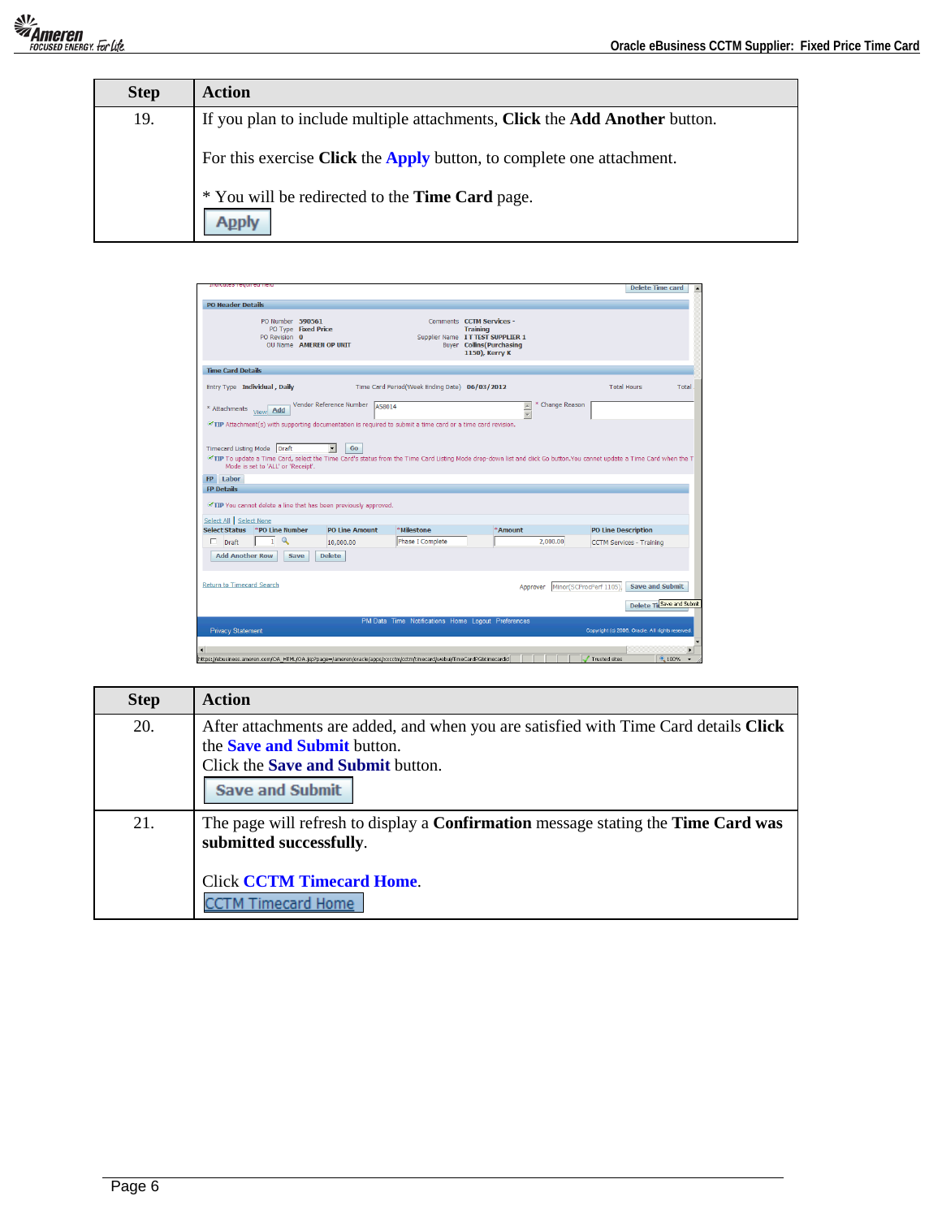| <b>Step</b> | Action                                                                     |
|-------------|----------------------------------------------------------------------------|
| 19.         | If you plan to include multiple attachments, Click the Add Another button. |
|             | For this exercise Click the Apply button, to complete one attachment.      |
|             | * You will be redirected to the Time Card page.                            |

| <b>PO Header Details</b>                                                                                                                                      |                                   |                                               |                       |                                                                                                            |                                                                                                                                       |               |                                                 |                                                      |
|---------------------------------------------------------------------------------------------------------------------------------------------------------------|-----------------------------------|-----------------------------------------------|-----------------------|------------------------------------------------------------------------------------------------------------|---------------------------------------------------------------------------------------------------------------------------------------|---------------|-------------------------------------------------|------------------------------------------------------|
|                                                                                                                                                               | PO Number 590561<br>PO Revision 0 | PO Type Fixed Price<br>OU Name AMEREN OP UNIT |                       |                                                                                                            | Comments CCTM Services -<br><b>Training</b><br>Supplier Name IT TEST SUPPLIER 1<br><b>Buyer</b> Collins (Purchasing<br>1150), Kerry K |               |                                                 |                                                      |
| <b>Time Card Details</b>                                                                                                                                      |                                   |                                               |                       |                                                                                                            |                                                                                                                                       |               |                                                 |                                                      |
| Entry Type Individual, Daily<br>* Attachments <sub>View</sub> Add                                                                                             |                                   | Vendor Reference Number                       | A58014                | Time Card Period(Week Ending Date) 06/03/2012                                                              | $\frac{1}{\sqrt{2}}$                                                                                                                  | Change Reason | <b>Total Hours</b>                              | Total                                                |
|                                                                                                                                                               |                                   |                                               |                       | TIP Attachment(s) with supporting documentation is required to submit a time card or a time card revision. |                                                                                                                                       |               |                                                 |                                                      |
| FP Labor                                                                                                                                                      |                                   |                                               |                       |                                                                                                            |                                                                                                                                       |               |                                                 |                                                      |
|                                                                                                                                                               |                                   |                                               |                       |                                                                                                            |                                                                                                                                       |               |                                                 |                                                      |
|                                                                                                                                                               |                                   |                                               | <b>PO Line Amount</b> | *Milestone                                                                                                 | *Amount                                                                                                                               |               | <b>PO Line Description</b>                      |                                                      |
| <b>FP Details</b><br>TIP You cannot delete a line that has been previously approved.<br>Select All Select None<br>Select Status PO Line Number<br>п.<br>Draft | $\mathbf Q$<br>$\mathbf{1}$       |                                               | 10,000.00             | Phase I Complete                                                                                           |                                                                                                                                       | 2,000,00      | <b>CCTM Services - Training</b>                 |                                                      |
| <b>Add Another Row</b>                                                                                                                                        |                                   | <b>Delete</b><br>Save                         |                       |                                                                                                            |                                                                                                                                       |               |                                                 |                                                      |
|                                                                                                                                                               |                                   |                                               |                       |                                                                                                            |                                                                                                                                       | Approver      | Minor(SCProcPerf 1105),                         |                                                      |
|                                                                                                                                                               |                                   |                                               |                       |                                                                                                            |                                                                                                                                       |               |                                                 |                                                      |
| <b>Return to Timecard Search</b><br><b>Privacy Statement</b>                                                                                                  |                                   |                                               |                       | PM Data Time Notifications Home Logout Preferences                                                         |                                                                                                                                       |               | Copyright (c) 2006, Oracle. All rights reserved | <b>Save and Submit</b><br>Delete Til Save and Submit |

| <b>Step</b> | <b>Action</b>                                                                                                                                                                                    |
|-------------|--------------------------------------------------------------------------------------------------------------------------------------------------------------------------------------------------|
| 20.         | After attachments are added, and when you are satisfied with Time Card details Click<br>the <b>Save and Submit</b> button.<br>Click the <b>Save and Submit</b> button.<br><b>Save and Submit</b> |
| 21.         | The page will refresh to display a <b>Confirmation</b> message stating the <b>Time Card was</b><br>submitted successfully.<br><b>Click CCTM Timecard Home.</b>                                   |